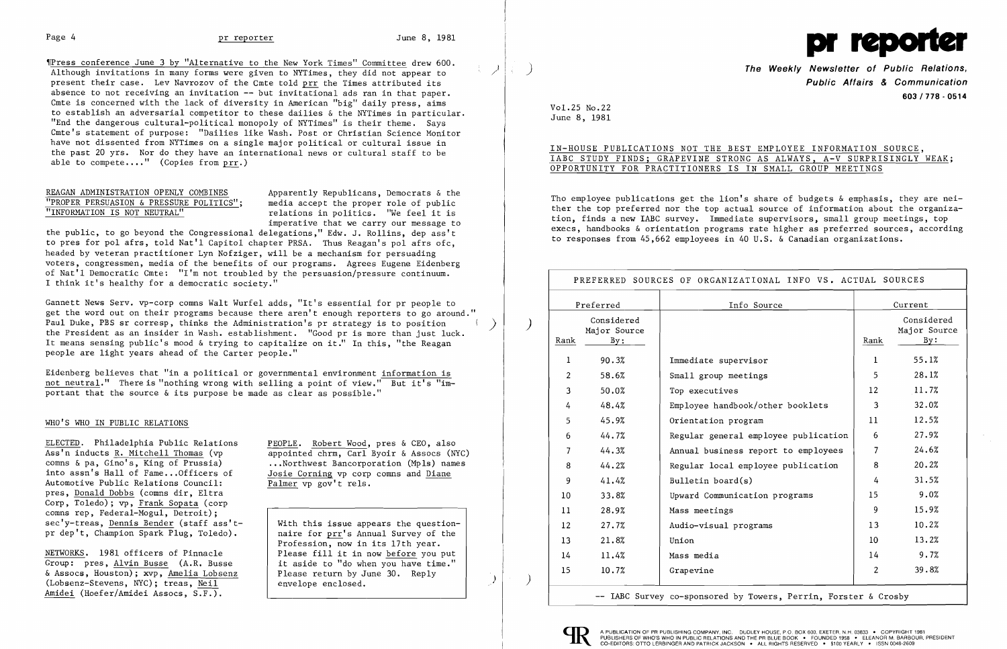# Page 4 **pr reporter** 5 June 8, 1981

'IPress conference June 3 by "Alternative to the New York Times" Committee drew 600. Although invitations in many forms were given to NYTimes, they did not appear to present their case. Lev Navrozov of the Cmte told prr the Times attributed its .<br>absence to not receiving an invitation -- but invitational ads ran in that paper. Cmte is concerned with the lack of diversity in American "big" daily press, aims to establish an adversarial competitor to these dailies & the NYTimes in particular. "End the dangerous cultural-political monopoly of NYTimes" is their theme. Says Cmte's statement of purpose: "Dailies like Wash. Post or Christian Science Monitor have not dissented from NYTimes on a single major political or cultural issue in the past 20 yrs. Nor do they have an international news or cultural staff to be able to compete...." (Copies from  $\text{prr.}$ )

REAGAN ADMINISTRATION OPENLY COMBINES Apparently Republicans, Democrats & the<br>"PROPER PERSUASION & PRESSURE POLITICS"; media accept the proper role of public "PROPER PERSUASION & PRESSURE POLITICS"; and accept the proper role of public winformation is not neutral." The relations in politics. "We feel it is relations in politics. "We feel it is imperative that we carry our message to

Gannett News Serv. vp-corp comns Walt Wurfel adds, "It's essential for pr people to get the word out on their programs because there aren't enough reporters to go around." Paul Duke, PBS sr corresp, thinks the Administration's pr strategy is to position () the President as an insider in Wash. establishment. "Good pr is more than just luck. It means sensing public's mood & trying to capitalize on it." In this, "the Reagan people are light years ahead of the Carter people."

the public, to go beyond the Congressional delegations," Edw. J. Rollins, dep ass't to pres for pol afrs, told Nat'l Capitol chapter PRSA. Thus Reagan's pol afrs ofc, headed by veteran practitioner Lyn Nofziger, will be a mechanism for persuading voters, congressmen, media of the benefits of our programs. Agrees Eugene Eidenberg of Nat'l Democratic Cmte: "I'm not troubled by the persuasion/pressure continuum. I think it's healthy for a democratic society."

Tho employee publications get the lion's share of budgets & emphasis, they are neither the top preferred nor the top actual source of information about the organiza tion, finds a new IABC survey. Immediate supervisors, small group meetings, top execs, handbooks & orientation programs rate higher as preferred sources, according to responses from 45,662 employees in 40 U.S. & Canadian organizations.

Eidenberg believes that "in a political or governmental environment information is not neutral." There is "nothing wrong with selling a point of view." But it's "important that the source & its purpose be made as clear as possible."

## WHO'S WHO IN PUBLIC RELATIONS

ELECTED. Philadelphia Public Relations PEOPLE. Robert Wood, pres & CEO, also<br>Ass'n inducts R. Mitchell Thomas (vp appointed chrm. Carl Byoir & Assocs (N) Ass'n inducts R. Mitchell Thomas (vp<br>
comns & pa, Gino's, King of Prussia)<br>
...Northwest Bancorporation (Mpls) names into assn's Hall of Fame...Officers of Josie Corning vp corp<br>Automotive Public Relations Council: Palmer vp gov't rels. Automotive Public Relations Council: pres, Donald Dobbs (comns dir, Eltra Corp, Toledo); vp, Frank Sopata (corp comns rep, Federal-Mogul, Detroit); sec'y-treas, Dennis Bender (staff ass't-  $\parallel$  With this issue appears the questionpr dep't, Champion Spark Plug, Toledo). | naire for prr's Annual Survey of the

NETWORKS. 1981 officers of Pinnacle<br>
Group: pres, Alvin Busse (A.R. Busse ) it aside to "do when you have time." Group: pres,  $\underline{\text{Alvin Busse}}$  (A.R. Busse it aside to "do when you have time. Assocs, Houston); xvp, Amelia Lobsenz Please return by June 30. Reply & Assocs, Houston); xvp, Amelia Lobsenz Please return by June 30. Reply (Lobsenz-Stevens, NYC); treas, Neil envelope enclosed. Amidei (Hoefer/Amidei Assocs,  $S.F.$ ).

... Northwest Bancorporation (Mpls) names<br>Josie Corning vp corp comns and Diane

Profession, now in its 17th year.

)

)



# **The Weekly Newsletter of Public Relations, Public Affairs & Communication 603/778 - 0514**

Vo1.25 No.22

June 8, 1981

# IN-HOUSE PUBLICATIONS NOT THE BEST EMPLOYEE INFORMATION SOURCE, IABC STUDY FINDS; GRAPEVINE STRONG AS ALWAYS, A-V SURPRISINGLY WEAK; OPPORTUNITY FOR PRACTITIONERS IS IN SMALL GROUP MEETINGS

| Preferred         |                                   | Info Source                          | Current         |                                   |
|-------------------|-----------------------------------|--------------------------------------|-----------------|-----------------------------------|
| Rank              | Considered<br>Major Source<br>By: |                                      | Rank            | Considered<br>Major Source<br>By: |
| 1                 | 90.3%                             | Immediate supervisor                 | $\bf{l}$        | 55.1%                             |
| 2                 | 58.6%                             | Small group meetings                 | 5               | 28.1%                             |
| 3                 | 50.0%                             | Top executives                       | 12 <sup>°</sup> | 11.7%                             |
| 4                 | 48.4%                             | Employee handbook/other booklets     | $\mathbf{3}$    | 32.0%                             |
| 5                 | 45.9%                             | Orientation program                  | 11              | 12.5%                             |
| 6                 | 44.7%                             | Regular general employee publication | 6               | 27.9%                             |
| 7                 | 44.3%                             | Annual business report to employees  | 7               | 24.6%                             |
| 8                 | 44.2%                             | Regular local employee publication   | 8               | 20.2%                             |
| 9                 | 41.4%                             | Bulletin board $(s)$                 | 4               | 31.5%                             |
| 10                | 33.8%                             | Upward Communication programs        | 15              | 9.0%                              |
| 11                | 28.9%                             | Mass meetings                        | 9               | 15.9%                             |
| $12 \overline{ }$ | 27.7%                             | Audio-visual programs                | 13              | 10.2%                             |
| 13                | 21.8%                             | Union                                | 10              | 13.2%                             |
| 14                | 11.4%                             | Mass media                           | 14              | 9.7%                              |
| 15                | 10.7%                             | Grapevine                            | 2               | 39.8%                             |



)